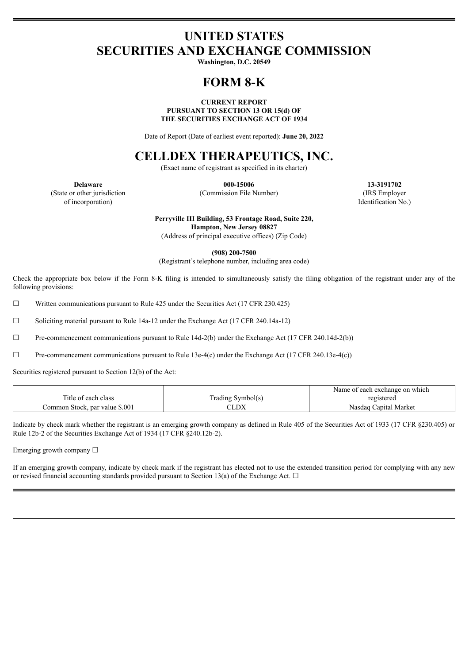# **UNITED STATES SECURITIES AND EXCHANGE COMMISSION**

**Washington, D.C. 20549**

# **FORM 8-K**

### **CURRENT REPORT PURSUANT TO SECTION 13 OR 15(d) OF THE SECURITIES EXCHANGE ACT OF 1934**

Date of Report (Date of earliest event reported): **June 20, 2022**

# **CELLDEX THERAPEUTICS, INC.**

(Exact name of registrant as specified in its charter)

(State or other jurisdiction of incorporation)

**Delaware 000-15006 13-3191702** (Commission File Number) (IRS Employer

Identification No.)

**Perryville III Building, 53 Frontage Road, Suite 220, Hampton, New Jersey 08827**

(Address of principal executive offices) (Zip Code)

**(908) 200-7500**

(Registrant's telephone number, including area code)

Check the appropriate box below if the Form 8-K filing is intended to simultaneously satisfy the filing obligation of the registrant under any of the following provisions:

☐ Written communications pursuant to Rule 425 under the Securities Act (17 CFR 230.425)

☐ Soliciting material pursuant to Rule 14a-12 under the Exchange Act (17 CFR 240.14a-12)

☐ Pre-commencement communications pursuant to Rule 14d-2(b) under the Exchange Act (17 CFR 240.14d-2(b))

 $\Box$  Pre-commencement communications pursuant to Rule 13e-4(c) under the Exchange Act (17 CFR 240.13e-4(c))

Securities registered pursuant to Section 12(b) of the Act:

|                                |                   | Name of each exchange on which |  |
|--------------------------------|-------------------|--------------------------------|--|
| Title of each class            | [rading Symbol(s` | registered                     |  |
| Common Stock, par value \$.001 | LDX               | Nasdaq Capital Market          |  |

Indicate by check mark whether the registrant is an emerging growth company as defined in Rule 405 of the Securities Act of 1933 (17 CFR §230.405) or Rule 12b-2 of the Securities Exchange Act of 1934 (17 CFR §240.12b-2).

Emerging growth company  $\Box$ 

If an emerging growth company, indicate by check mark if the registrant has elected not to use the extended transition period for complying with any new or revised financial accounting standards provided pursuant to Section 13(a) of the Exchange Act.  $\Box$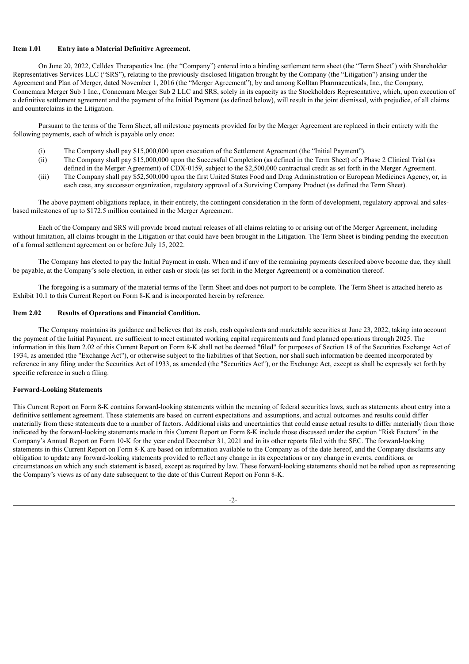### **Item 1.01 Entry into a Material Definitive Agreement.**

On June 20, 2022, Celldex Therapeutics Inc. (the "Company") entered into a binding settlement term sheet (the "Term Sheet") with Shareholder Representatives Services LLC ("SRS"), relating to the previously disclosed litigation brought by the Company (the "Litigation") arising under the Agreement and Plan of Merger, dated November 1, 2016 (the "Merger Agreement"), by and among Kolltan Pharmaceuticals, Inc., the Company, Connemara Merger Sub 1 Inc., Connemara Merger Sub 2 LLC and SRS, solely in its capacity as the Stockholders Representative, which, upon execution of a definitive settlement agreement and the payment of the Initial Payment (as defined below), will result in the joint dismissal, with prejudice, of all claims and counterclaims in the Litigation.

Pursuant to the terms of the Term Sheet, all milestone payments provided for by the Merger Agreement are replaced in their entirety with the following payments, each of which is payable only once:

- (i) The Company shall pay \$15,000,000 upon execution of the Settlement Agreement (the "Initial Payment").
- (ii) The Company shall pay \$15,000,000 upon the Successful Completion (as defined in the Term Sheet) of a Phase 2 Clinical Trial (as defined in the Merger Agreement) of CDX-0159, subject to the \$2,500,000 contractual credit as set forth in the Merger Agreement.
- (iii) The Company shall pay \$52,500,000 upon the first United States Food and Drug Administration or European Medicines Agency, or, in each case, any successor organization, regulatory approval of a Surviving Company Product (as defined the Term Sheet).

The above payment obligations replace, in their entirety, the contingent consideration in the form of development, regulatory approval and salesbased milestones of up to \$172.5 million contained in the Merger Agreement.

Each of the Company and SRS will provide broad mutual releases of all claims relating to or arising out of the Merger Agreement, including without limitation, all claims brought in the Litigation or that could have been brought in the Litigation. The Term Sheet is binding pending the execution of a formal settlement agreement on or before July 15, 2022.

The Company has elected to pay the Initial Payment in cash. When and if any of the remaining payments described above become due, they shall be payable, at the Company's sole election, in either cash or stock (as set forth in the Merger Agreement) or a combination thereof.

The foregoing is a summary of the material terms of the Term Sheet and does not purport to be complete. The Term Sheet is attached hereto as Exhibit 10.1 to this Current Report on Form 8-K and is incorporated herein by reference.

#### **Item 2.02 Results of Operations and Financial Condition.**

The Company maintains its guidance and believes that its cash, cash equivalents and marketable securities at June 23, 2022, taking into account the payment of the Initial Payment, are sufficient to meet estimated working capital requirements and fund planned operations through 2025. The information in this Item 2.02 of this Current Report on Form 8-K shall not be deemed "filed" for purposes of Section 18 of the Securities Exchange Act of 1934, as amended (the "Exchange Act"), or otherwise subject to the liabilities of that Section, nor shall such information be deemed incorporated by reference in any filing under the Securities Act of 1933, as amended (the "Securities Act"), or the Exchange Act, except as shall be expressly set forth by specific reference in such a filing.

#### **Forward-Looking Statements**

This Current Report on Form 8-K contains forward-looking statements within the meaning of federal securities laws, such as statements about entry into a definitive settlement agreement. These statements are based on current expectations and assumptions, and actual outcomes and results could differ materially from these statements due to a number of factors. Additional risks and uncertainties that could cause actual results to differ materially from those indicated by the forward-looking statements made in this Current Report on Form 8-K include those discussed under the caption "Risk Factors" in the Company's Annual Report on Form 10-K for the year ended December 31, 2021 and in its other reports filed with the SEC. The forward-looking statements in this Current Report on Form 8-K are based on information available to the Company as of the date hereof, and the Company disclaims any obligation to update any forward-looking statements provided to reflect any change in its expectations or any change in events, conditions, or circumstances on which any such statement is based, except as required by law. These forward-looking statements should not be relied upon as representing the Company's views as of any date subsequent to the date of this Current Report on Form 8-K.

 $-2-$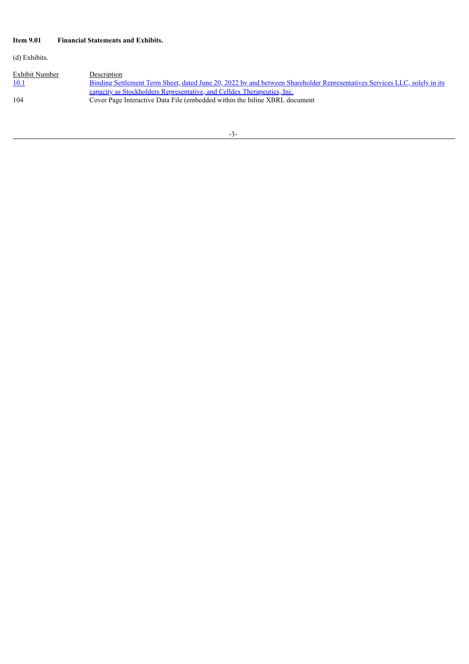# **Item 9.01 Financial Statements and Exhibits.**

(d) Exhibits.

| Exhibit Number | Description                                                                                                                      |
|----------------|----------------------------------------------------------------------------------------------------------------------------------|
| 10.1           | <u>Binding Settlement Term Sheet, dated June 20, 2022 by and between Shareholder Representatives Services LLC, solely in its</u> |
|                | <u>capacity as Stockholders Representative, and Celldex Therapeutics, Inc.</u>                                                   |
| 104            | Cover Page Interactive Data File (embedded within the Inline XBRL document                                                       |
|                |                                                                                                                                  |

-3-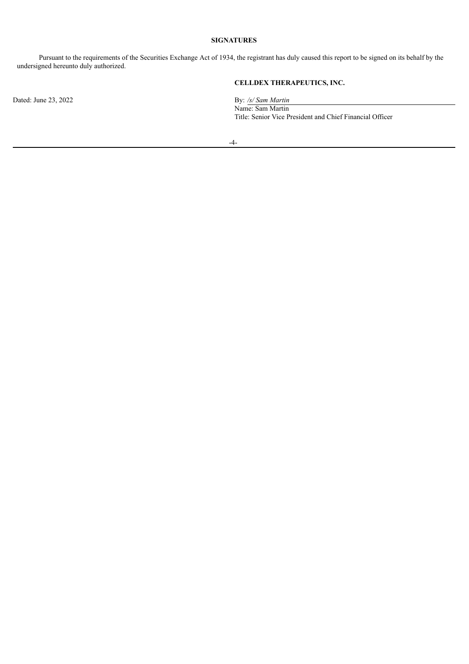## **SIGNATURES**

Pursuant to the requirements of the Securities Exchange Act of 1934, the registrant has duly caused this report to be signed on its behalf by the undersigned hereunto duly authorized.

Dated: June 23, 2022 By: /s/ *Sam Martin* 

# **CELLDEX THERAPEUTICS, INC.**

Name: Sam Martin Title: Senior Vice President and Chief Financial Officer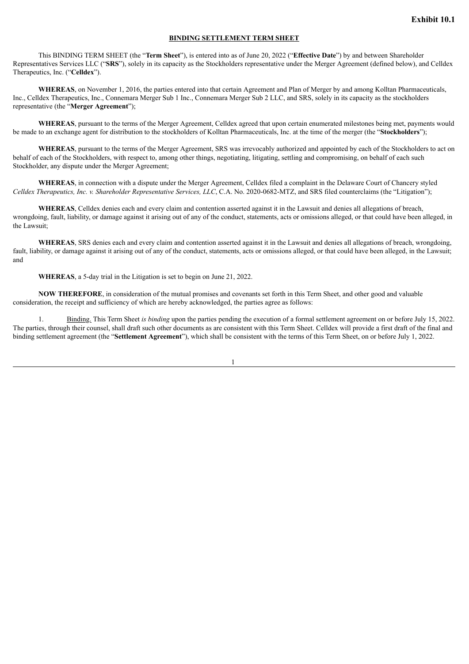### **BINDING SETTLEMENT TERM SHEET**

<span id="page-4-0"></span>This BINDING TERM SHEET (the "**Term Sheet**"), is entered into as of June 20, 2022 ("**Effective Date**") by and between Shareholder Representatives Services LLC ("**SRS**"), solely in its capacity as the Stockholders representative under the Merger Agreement (defined below), and Celldex Therapeutics, Inc. ("**Celldex**").

**WHEREAS**, on November 1, 2016, the parties entered into that certain Agreement and Plan of Merger by and among Kolltan Pharmaceuticals, Inc., Celldex Therapeutics, Inc., Connemara Merger Sub 1 Inc., Connemara Merger Sub 2 LLC, and SRS, solely in its capacity as the stockholders representative (the "**Merger Agreement**");

**WHEREAS**, pursuant to the terms of the Merger Agreement, Celldex agreed that upon certain enumerated milestones being met, payments would be made to an exchange agent for distribution to the stockholders of Kolltan Pharmaceuticals, Inc. at the time of the merger (the "**Stockholders**");

**WHEREAS**, pursuant to the terms of the Merger Agreement, SRS was irrevocably authorized and appointed by each of the Stockholders to act on behalf of each of the Stockholders, with respect to, among other things, negotiating, litigating, settling and compromising, on behalf of each such Stockholder, any dispute under the Merger Agreement;

**WHEREAS**, in connection with a dispute under the Merger Agreement, Celldex filed a complaint in the Delaware Court of Chancery styled *Celldex Therapeutics, Inc. v. Shareholder Representative Services, LLC*, C.A. No. 2020-0682-MTZ, and SRS filed counterclaims (the "Litigation");

**WHEREAS**, Celldex denies each and every claim and contention asserted against it in the Lawsuit and denies all allegations of breach, wrongdoing, fault, liability, or damage against it arising out of any of the conduct, statements, acts or omissions alleged, or that could have been alleged, in the Lawsuit;

**WHEREAS**, SRS denies each and every claim and contention asserted against it in the Lawsuit and denies all allegations of breach, wrongdoing, fault, liability, or damage against it arising out of any of the conduct, statements, acts or omissions alleged, or that could have been alleged, in the Lawsuit; and

**WHEREAS**, a 5-day trial in the Litigation is set to begin on June 21, 2022.

**NOW THEREFORE**, in consideration of the mutual promises and covenants set forth in this Term Sheet, and other good and valuable consideration, the receipt and sufficiency of which are hereby acknowledged, the parties agree as follows:

1. Binding. This Term Sheet *is binding* upon the parties pending the execution of a formal settlement agreement on or before July 15, 2022. The parties, through their counsel, shall draft such other documents as are consistent with this Term Sheet. Celldex will provide a first draft of the final and binding settlement agreement (the "**Settlement Agreement**"), which shall be consistent with the terms of this Term Sheet, on or before July 1, 2022.

1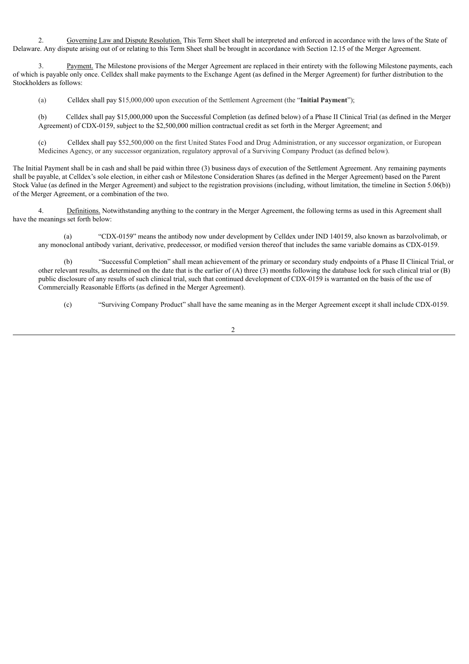2. Governing Law and Dispute Resolution. This Term Sheet shall be interpreted and enforced in accordance with the laws of the State of Delaware. Any dispute arising out of or relating to this Term Sheet shall be brought in accordance with Section 12.15 of the Merger Agreement.

Payment. The Milestone provisions of the Merger Agreement are replaced in their entirety with the following Milestone payments, each of which is payable only once. Celldex shall make payments to the Exchange Agent (as defined in the Merger Agreement) for further distribution to the Stockholders as follows:

(a) Celldex shall pay \$15,000,000 upon execution of the Settlement Agreement (the "**Initial Payment**");

(b) Celldex shall pay \$15,000,000 upon the Successful Completion (as defined below) of a Phase II Clinical Trial (as defined in the Merger Agreement) of CDX-0159, subject to the \$2,500,000 million contractual credit as set forth in the Merger Agreement; and

(c) Celldex shall pay \$52,500,000 on the first United States Food and Drug Administration, or any successor organization, or European Medicines Agency, or any successor organization, regulatory approval of a Surviving Company Product (as defined below).

The Initial Payment shall be in cash and shall be paid within three (3) business days of execution of the Settlement Agreement. Any remaining payments shall be payable, at Celldex's sole election, in either cash or Milestone Consideration Shares (as defined in the Merger Agreement) based on the Parent Stock Value (as defined in the Merger Agreement) and subject to the registration provisions (including, without limitation, the timeline in Section 5.06(b)) of the Merger Agreement, or a combination of the two.

4. Definitions. Notwithstanding anything to the contrary in the Merger Agreement, the following terms as used in this Agreement shall have the meanings set forth below:

(a) "CDX-0159" means the antibody now under development by Celldex under IND 140159, also known as barzolvolimab, or any monoclonal antibody variant, derivative, predecessor, or modified version thereof that includes the same variable domains as CDX-0159.

(b) "Successful Completion" shall mean achievement of the primary or secondary study endpoints of a Phase II Clinical Trial, or other relevant results, as determined on the date that is the earlier of (A) three (3) months following the database lock for such clinical trial or (B) public disclosure of any results of such clinical trial, such that continued development of CDX-0159 is warranted on the basis of the use of Commercially Reasonable Efforts (as defined in the Merger Agreement).

(c) "Surviving Company Product" shall have the same meaning as in the Merger Agreement except it shall include CDX-0159.

2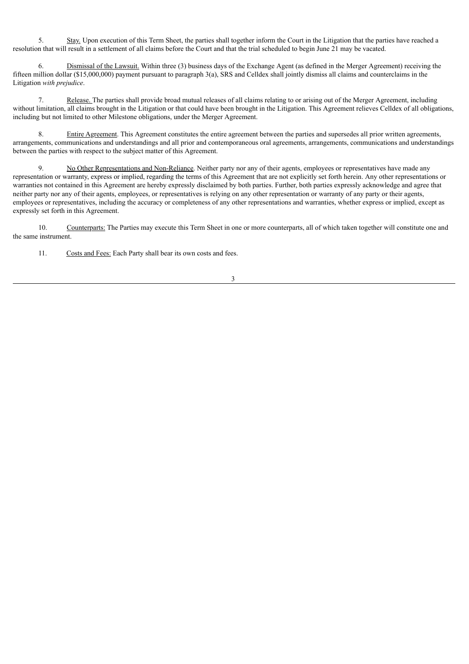5. Stay. Upon execution of this Term Sheet, the parties shall together inform the Court in the Litigation that the parties have reached a resolution that will result in a settlement of all claims before the Court and that the trial scheduled to begin June 21 may be vacated.

6. Dismissal of the Lawsuit. Within three (3) business days of the Exchange Agent (as defined in the Merger Agreement) receiving the fifteen million dollar (\$15,000,000) payment pursuant to paragraph 3(a), SRS and Celldex shall jointly dismiss all claims and counterclaims in the Litigation *with prejudice*.

7. Release. The parties shall provide broad mutual releases of all claims relating to or arising out of the Merger Agreement, including without limitation, all claims brought in the Litigation or that could have been brought in the Litigation. This Agreement relieves Celldex of all obligations, including but not limited to other Milestone obligations, under the Merger Agreement.

8. Entire Agreement. This Agreement constitutes the entire agreement between the parties and supersedes all prior written agreements, arrangements, communications and understandings and all prior and contemporaneous oral agreements, arrangements, communications and understandings between the parties with respect to the subject matter of this Agreement.

9. No Other Representations and Non-Reliance. Neither party nor any of their agents, employees or representatives have made any representation or warranty, express or implied, regarding the terms of this Agreement that are not explicitly set forth herein. Any other representations or warranties not contained in this Agreement are hereby expressly disclaimed by both parties. Further, both parties expressly acknowledge and agree that neither party nor any of their agents, employees, or representatives is relying on any other representation or warranty of any party or their agents, employees or representatives, including the accuracy or completeness of any other representations and warranties, whether express or implied, except as expressly set forth in this Agreement.

10. Counterparts: The Parties may execute this Term Sheet in one or more counterparts, all of which taken together will constitute one and the same instrument.

11. Costs and Fees: Each Party shall bear its own costs and fees.

3